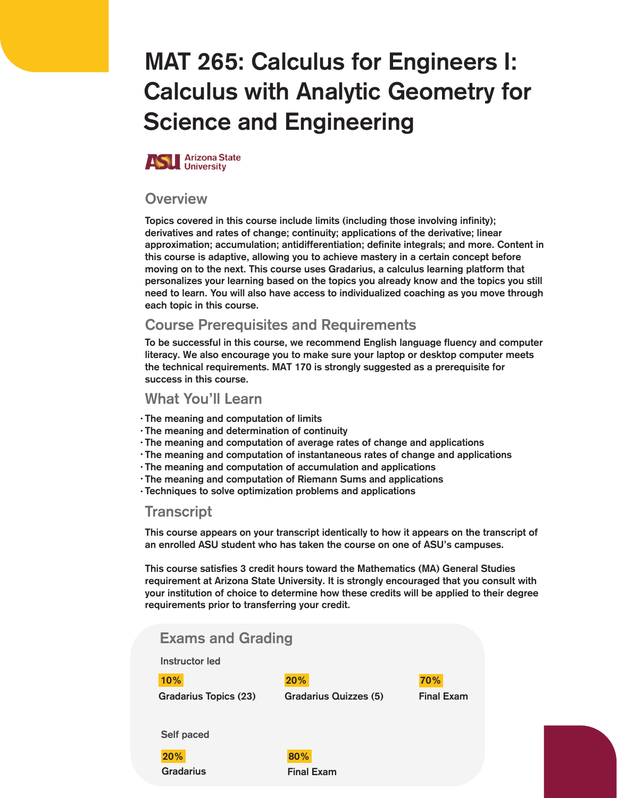# MAT 265: Calculus for Engineers I: Calculus with Analytic Geometry for Science and Engineering



#### **Overview**

Topics covered in this course include limits (including those involving infinity); derivatives and rates of change; continuity; applications of the derivative; linear approximation; accumulation; antidifferentiation; definite integrals; and more. Content in this course is adaptive, allowing you to achieve mastery in a certain concept before moving on to the next. This course uses Gradarius, a calculus learning platform that personalizes your learning based on the topics you already know and the topics you still need to learn. You will also have access to individualized coaching as you move through each topic in this course.

#### Course Prerequisites and Requirements

To be successful in this course, we recommend English language fluency and computer literacy. We also encourage you to make sure your laptop or desktop computer meets the technical requirements. MAT 170 is strongly suggested as a prerequisite for success in this course.

#### What You'll Learn

- The meaning and computation of limits •
- The meaning and determination of continuity •
- The meaning and computation of average rates of change and applications •
- $\cdot$  The meaning and computation of instantaneous rates of change and applications
- The meaning and computation of accumulation and applications •
- The meaning and computation of Riemann Sums and applications •
- Techniques to solve optimization problems and applications •

#### **Transcript**

This course appears on your transcript identically to how it appears on the transcript of an enrolled ASU student who has taken the course on one of ASU's campuses.

This course satisfies 3 credit hours toward the Mathematics (MA) General Studies requirement at Arizona State University. It is strongly encouraged that you consult with your institution of choice to determine how these credits will be applied to their degree requirements prior to transferring your credit.

| <b>Exams and Grading</b> |                              |                   |
|--------------------------|------------------------------|-------------------|
| Instructor led           |                              |                   |
| 10%                      | 20%                          | 70%               |
| Gradarius Topics (23)    | <b>Gradarius Quizzes (5)</b> | <b>Final Exam</b> |
|                          |                              |                   |
| Self paced               |                              |                   |
| 20%                      | 80%                          |                   |
| Gradarius                | <b>Final Exam</b>            |                   |